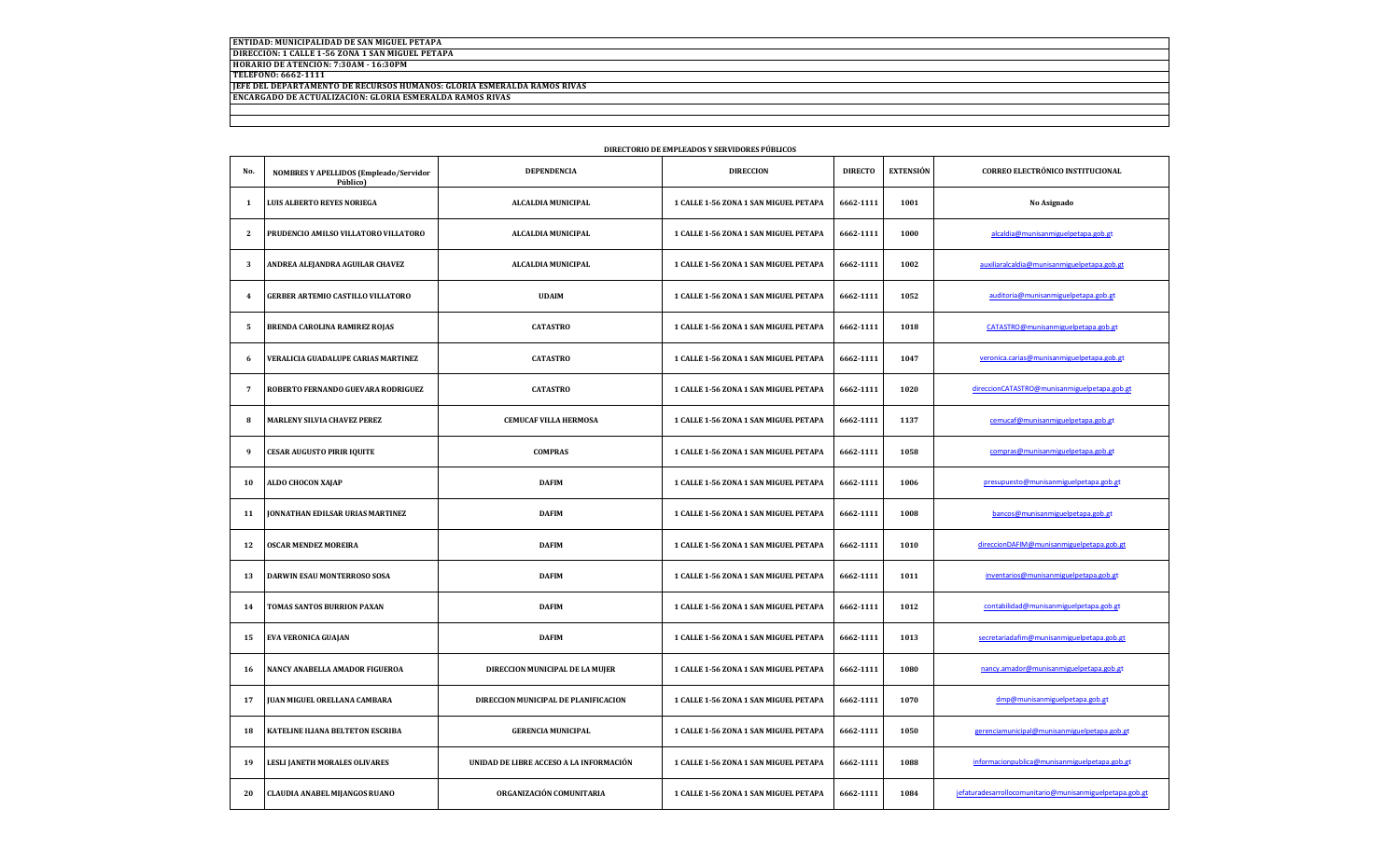**ENTIDAD: MUNICIPALIDAD DE SAN MIGUEL PETAPA DIRECCIÓN: 1 CALLE 1-56 ZONA 1 SAN MIGUEL PETAPA HORARIO DE ATENCIÓN: 7:30AM - 16:30PM TELÉFONO: 6662-1111 JEFE DEL DEPARTAMENTO DE RECURSOS HUMANOS: GLORIA ESMERALDA RAMOS RIVAS ENCARGADO DE ACTUALIZACIÓN: GLORIA ESMERALDA RAMOS RIVAS**

| No.            | NOMBRES Y APELLIDOS (Empleado/Servidor | <b>DEPENDENCIA</b>                      | <b>DIRECCION</b>                      | <b>DIRECTO</b> | <b>EXTENSIÓN</b> | CORREO ELECTRÓNICO INSTITUCIONAL                         |
|----------------|----------------------------------------|-----------------------------------------|---------------------------------------|----------------|------------------|----------------------------------------------------------|
|                | Público)                               |                                         |                                       |                |                  |                                                          |
| 1              | <b>LUIS ALBERTO REYES NORIEGA</b>      | <b>ALCALDIA MUNICIPAL</b>               | 1 CALLE 1-56 ZONA 1 SAN MIGUEL PETAPA | 6662-1111      | 1001             | No Asignado                                              |
| 2              | PRUDENCIO AMILSO VILLATORO VILLATORO   | ALCALDIA MUNICIPAL                      | 1 CALLE 1-56 ZONA 1 SAN MIGUEL PETAPA | 6662-1111      | 1000             | alcaldia@munisanmiguelpetapa.gob.gt                      |
| 3              | ANDREA ALEJANDRA AGUILAR CHAVEZ        | ALCALDIA MUNICIPAL                      | 1 CALLE 1-56 ZONA 1 SAN MIGUEL PETAPA | 6662-1111      | 1002             | auxiliaralcaldia@munisanmiguelpetapa.gob.gt              |
| $\overline{4}$ | GERBER ARTEMIO CASTILLO VILLATORO      | <b>UDAIM</b>                            | 1 CALLE 1-56 ZONA 1 SAN MIGUEL PETAPA | 6662-1111      | 1052             | auditoria@munisanmiguelpetapa.gob.gt                     |
| 5              | BRENDA CAROLINA RAMIREZ ROJAS          | <b>CATASTRO</b>                         | 1 CALLE 1-56 ZONA 1 SAN MIGUEL PETAPA | 6662-1111      | 1018             | CATASTRO@munisanmiguelpetapa.gob.gt                      |
| 6              | VERALICIA GUADALUPE CARIAS MARTINEZ    | <b>CATASTRO</b>                         | 1 CALLE 1-56 ZONA 1 SAN MIGUEL PETAPA | 6662-1111      | 1047             | veronica.carias@munisanmiguelpetapa.gob.gt               |
| -7             | ROBERTO FERNANDO GUEVARA RODRIGUEZ     | <b>CATASTRO</b>                         | 1 CALLE 1-56 ZONA 1 SAN MIGUEL PETAPA | 6662-1111      | 1020             | direccionCATASTRO@munisanmiguelpetapa.gob.gt             |
| 8              | <b>MARLENY SILVIA CHAVEZ PEREZ</b>     | <b>CEMUCAF VILLA HERMOSA</b>            | 1 CALLE 1-56 ZONA 1 SAN MIGUEL PETAPA | 6662-1111      | 1137             | cemucaf@munisanmiguelpetapa.gob.gt                       |
| 9              | <b>CESAR AUGUSTO PIRIR IQUITE</b>      | <b>COMPRAS</b>                          | 1 CALLE 1-56 ZONA 1 SAN MIGUEL PETAPA | 6662-1111      | 1058             | compras@munisanmiguelpetapa.gob.gt                       |
| 10             | ALDO CHOCON XAJAP                      | <b>DAFIM</b>                            | 1 CALLE 1-56 ZONA 1 SAN MIGUEL PETAPA | 6662-1111      | 1006             | presupuesto@munisanmiguelpetapa.gob.gt                   |
| 11             | JONNATHAN EDILSAR URIAS MARTINEZ       | <b>DAFIM</b>                            | 1 CALLE 1-56 ZONA 1 SAN MIGUEL PETAPA | 6662-1111      | 1008             | bancos@munisanmiguelpetapa.gob.gt                        |
| 12             | <b>OSCAR MENDEZ MOREIRA</b>            | <b>DAFIM</b>                            | 1 CALLE 1-56 ZONA 1 SAN MIGUEL PETAPA | 6662-1111      | 1010             | direccionDAFIM@munisanmiguelpetapa.gob.gt                |
| 13             | DARWIN ESAU MONTERROSO SOSA            | <b>DAFIM</b>                            | 1 CALLE 1-56 ZONA 1 SAN MIGUEL PETAPA | 6662-1111      | 1011             | inventarios@munisanmiguelpetapa.gob.gt                   |
| 14             | TOMAS SANTOS BURRION PAXAN             | <b>DAFIM</b>                            | 1 CALLE 1-56 ZONA 1 SAN MIGUEL PETAPA | 6662-1111      | 1012             | contabilidad@munisanmiguelpetapa.gob.gt                  |
| 15             | <b>EVA VERONICA GUAJAN</b>             | <b>DAFIM</b>                            | 1 CALLE 1-56 ZONA 1 SAN MIGUEL PETAPA | 6662-1111      | 1013             | secretariadafim@munisanmiguelpetapa.gob.gt               |
| 16             | NANCY ANABELLA AMADOR FIGUEROA         | DIRECCION MUNICIPAL DE LA MUJER         | 1 CALLE 1-56 ZONA 1 SAN MIGUEL PETAPA | 6662-1111      | 1080             | nancy.amador@munisanmiguelpetapa.gob.gt                  |
| 17             | JUAN MIGUEL ORELLANA CAMBARA           | DIRECCION MUNICIPAL DE PLANIFICACION    | 1 CALLE 1-56 ZONA 1 SAN MIGUEL PETAPA | 6662-1111      | 1070             | dmp@munisanmiguelpetapa.gob.gt                           |
| 18             | KATELINE ILIANA BELTETON ESCRIBA       | <b>GERENCIA MUNICIPAL</b>               | 1 CALLE 1-56 ZONA 1 SAN MIGUEL PETAPA | 6662-1111      | 1050             | gerenciamunicipal@munisanmiguelpetapa.gob.gt             |
| 19             | LESLI JANETH MORALES OLIVARES          | UNIDAD DE LIBRE ACCESO A LA INFORMACIÓN | 1 CALLE 1-56 ZONA 1 SAN MIGUEL PETAPA | 6662-1111      | 1088             | informacionpublica@munisanmiguelpetapa.gob.gt            |
| 20             | CLAUDIA ANABEL MIJANGOS RUANO          | ORGANIZACIÓN COMUNITARIA                | 1 CALLE 1-56 ZONA 1 SAN MIGUEL PETAPA | 6662-1111      | 1084             | iefaturadesarrollocomunitario@munisanmiguelpetapa.gob.gt |

## **DIRECTORIO DE EMPLEADOS Y SERVIDORES PÚBLICOS**